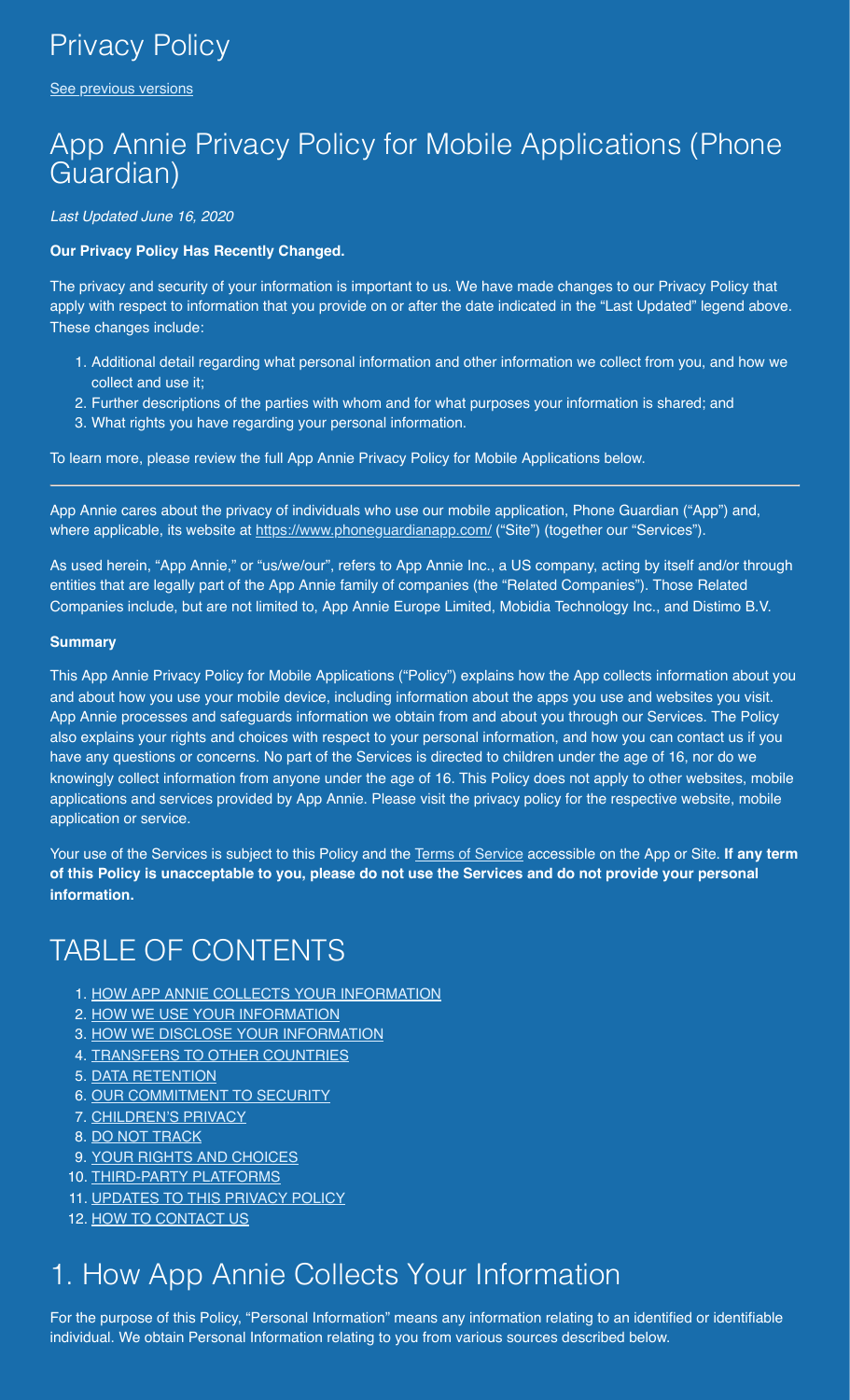[See previous versions](https://www.phoneguardianapp.com/privacy-policy-archive.php)

## App Annie Privacy Policy for Mobile Applications (Phone Guardian)

*Last Updated June 16, 2020*

#### **Our Privacy Policy Has Recently Changed.**

The privacy and security of your information is important to us. We have made changes to our Privacy Policy that apply with respect to information that you provide on or after the date indicated in the "Last Updated" legend above. These changes include:

- 1. Additional detail regarding what personal information and other information we collect from you, and how we collect and use it;
- 2. Further descriptions of the parties with whom and for what purposes your information is shared; and
- 3. What rights you have regarding your personal information.

To learn more, please review the full App Annie Privacy Policy for Mobile Applications below.

App Annie cares about the privacy of individuals who use our mobile application, Phone Guardian ("App") and, where applicable, its website at<https://www.phoneguardianapp.com/> ("Site") (together our "Services").

As used herein, "App Annie," or "us/we/our", refers to App Annie Inc., a US company, acting by itself and/or through entities that are legally part of the App Annie family of companies (the "Related Companies"). Those Related Companies include, but are not limited to, App Annie Europe Limited, Mobidia Technology Inc., and Distimo B.V.

#### **Summary**

This App Annie Privacy Policy for Mobile Applications ("Policy") explains how the App collects information about you and about how you use your mobile device, including information about the apps you use and websites you visit. App Annie processes and safeguards information we obtain from and about you through our Services. The Policy also explains your rights and choices with respect to your personal information, and how you can contact us if you have any questions or concerns. No part of the Services is directed to children under the age of 16, nor do we knowingly collect information from anyone under the age of 16. This Policy does not apply to other websites, mobile applications and services provided by App Annie. Please visit the privacy policy for the respective website, mobile application or service.

Your use of the Services is subject to this Policy and the [Terms of Service](https://www.phoneguardianapp.com/pp.php) accessible on the App or Site. **If any term of this Policy is unacceptable to you, please do not use the Services and do not provide your personal information.**

# TABLE OF CONTENTS

- 1. [HOW APP ANNIE COLLECTS YOUR INFORMATION](#page-0-0)
- 2. [HOW WE USE YOUR INFORMATION](#page-2-0)
- 3. [HOW WE DISCLOSE YOUR INFORMATION](#page-3-0)
- 4. [TRANSFERS TO OTHER COUNTRIES](#page-3-1)
- 5. [DATA RETENTION](#page-4-0)
- 6. [OUR COMMITMENT TO SECURITY](#page-4-1)
- 7. [CHILDREN'S PRIVACY](#page-4-2)
- 8. [DO NOT TRACK](#page-4-3)
- 9. [YOUR RIGHTS AND CHOICES](#page-4-4)
- 10. [THIRD-PARTY PLATFORMS](#page-7-0)
- 11. [UPDATES TO THIS PRIVACY POLICY](#page-7-1)
- 12. [HOW TO CONTACT US](#page-7-2)

# <span id="page-0-0"></span>1. How App Annie Collects Your Information

For the purpose of this Policy, "Personal Information" means any information relating to an identified or identifiable individual. We obtain Personal Information relating to you from various sources described below.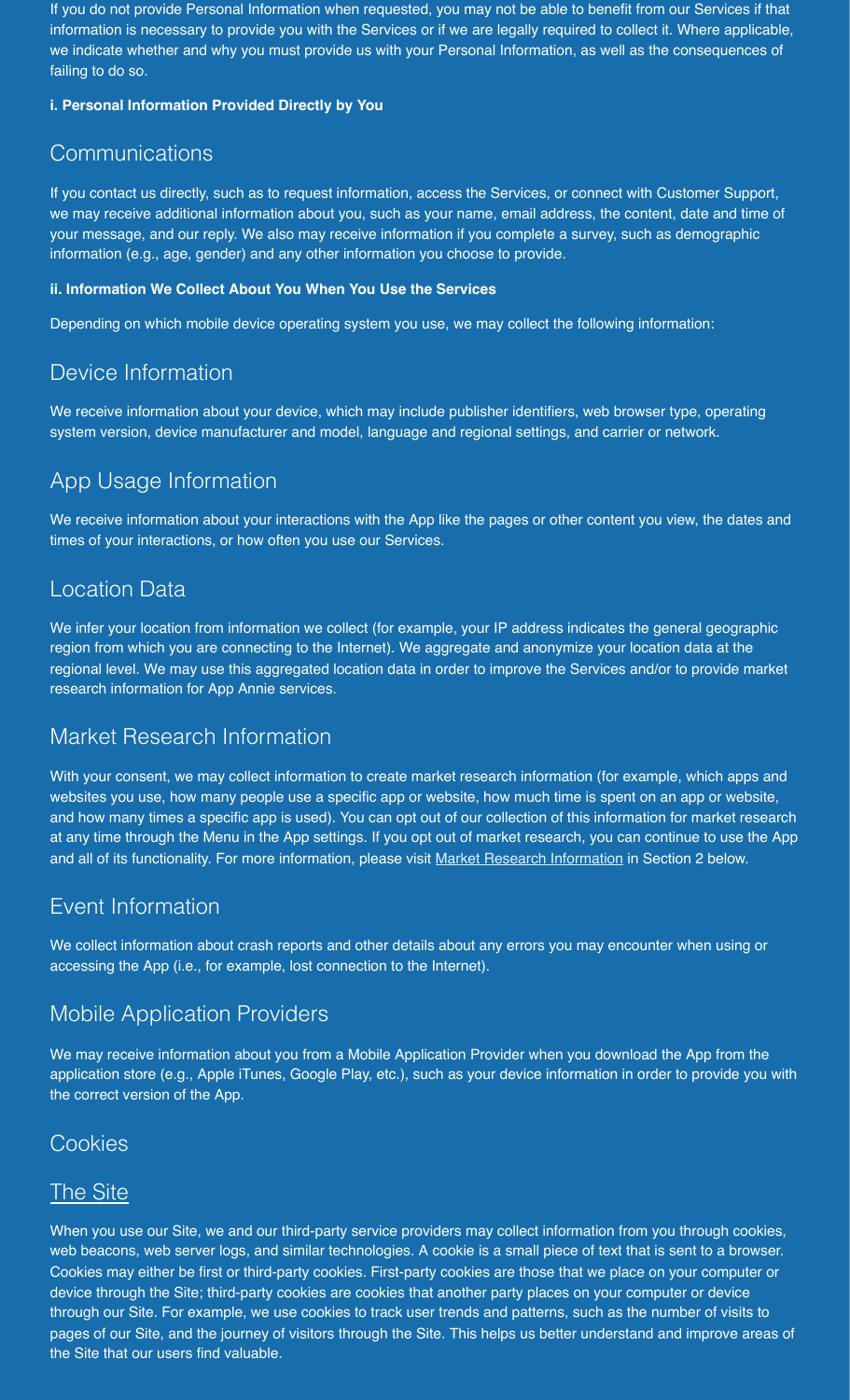If you do not provide Personal Information when requested, you may not be able to benefit from our Services if that information is necessary to provide you with the Services or if we are legally required to collect it. Where applicable, we indicate whether and why you must provide us with your Personal Information, as well as the consequences of failing to do so.

#### **i. Personal Information Provided Directly by You**

### **Communications**

If you contact us directly, such as to request information, access the Services, or connect with Customer Support, we may receive additional information about you, such as your name, email address, the content, date and time of your message, and our reply. We also may receive information if you complete a survey, such as demographic information (e.g., age, gender) and any other information you choose to provide.

#### **ii. Information We Collect About You When You Use the Services**

Depending on which mobile device operating system you use, we may collect the following information:

### Device Information

We receive information about your device, which may include publisher identifiers, web browser type, operating system version, device manufacturer and model, language and regional settings, and carrier or network.

### App Usage Information

We receive information about your interactions with the App like the pages or other content you view, the dates and times of your interactions, or how often you use our Services.

### Location Data

We infer your location from information we collect (for example, your IP address indicates the general geographic region from which you are connecting to the Internet). We aggregate and anonymize your location data at the regional level. We may use this aggregated location data in order to improve the Services and/or to provide market research information for App Annie services.

### Market Research Information

With your consent, we may collect information to create market research information (for example, which apps and websites you use, how many people use a specific app or website, how much time is spent on an app or website, and how many times a specific app is used). You can opt out of our collection of this information for market research at any time through the Menu in the App settings. If you opt out of market research, you can continue to use the App and all of its functionality. For more information, please visit [Market Research Information](#page-2-1) in Section 2 below.

### Event Information

We collect information about crash reports and other details about any errors you may encounter when using or accessing the App (i.e., for example, lost connection to the Internet).

### Mobile Application Providers

We may receive information about you from a Mobile Application Provider when you download the App from the application store (e.g., Apple iTunes, Google Play, etc.), such as your device information in order to provide you with the correct version of the App.

### **Cookies**

### The Site

When you use our Site, we and our third-party service providers may collect information from you through cookies, web beacons, web server logs, and similar technologies. A cookie is a small piece of text that is sent to a browser. Cookies may either be first or third-party cookies. First-party cookies are those that we place on your computer or device through the Site; third-party cookies are cookies that another party places on your computer or device through our Site. For example, we use cookies to track user trends and patterns, such as the number of visits to pages of our Site, and the journey of visitors through the Site. This helps us better understand and improve areas of the Site that our users find valuable.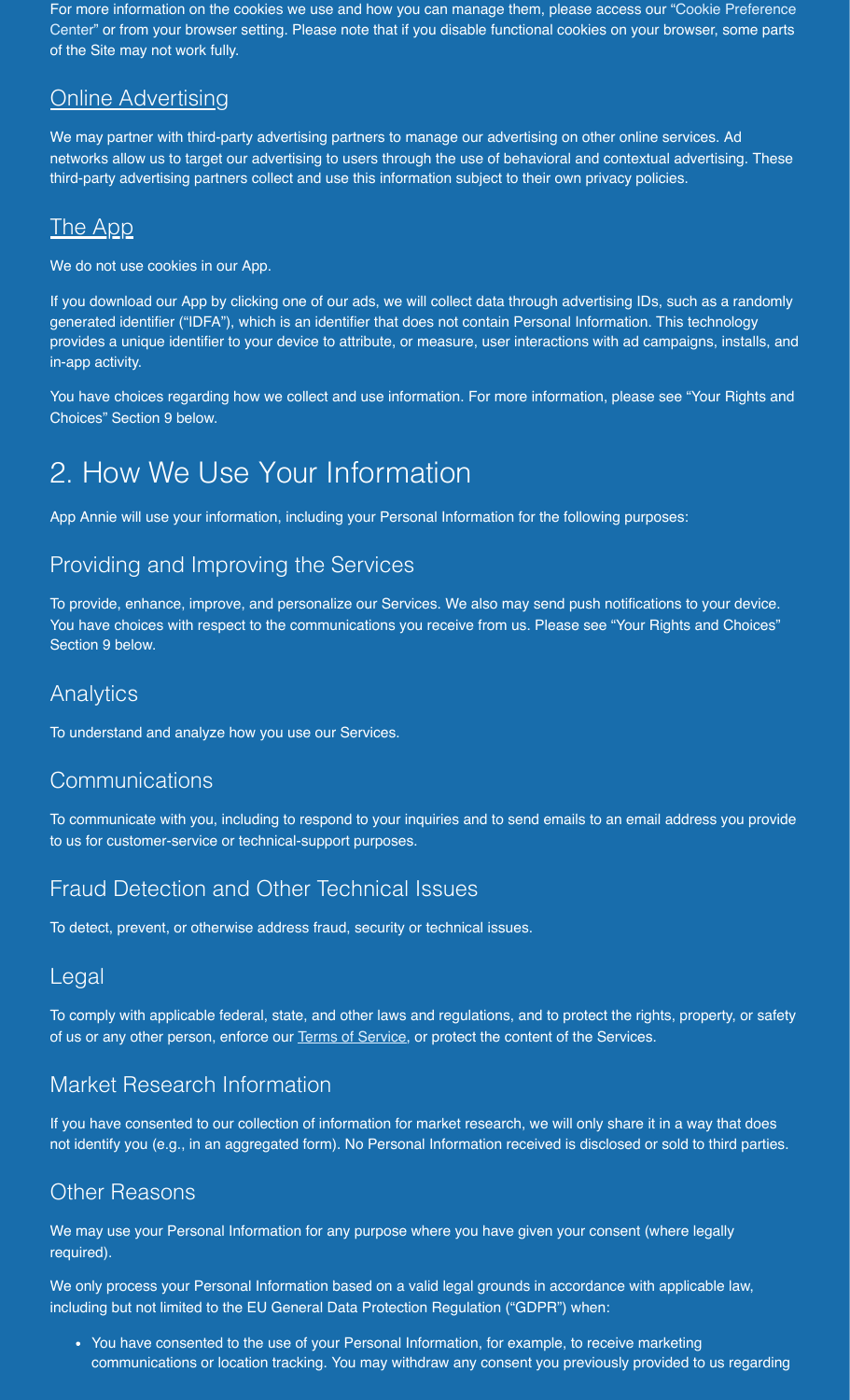For more information on the cookies we use and how you can manage them, please access our "Cookie Preference Center" or from your browser setting. Please note that if you disable functional cookies on your browser, some parts of the Site may not work fully.

### **Online Advertising**

We may partner with third-party advertising partners to manage our advertising on other online services. Ad networks allow us to target our advertising to users through the use of behavioral and contextual advertising. These third-party advertising partners collect and use this information subject to their own privacy policies.

### <u>The App</u>

We do not use cookies in our App.

If you download our App by clicking one of our ads, we will collect data through advertising IDs, such as a randomly generated identifier ("IDFA"), which is an identifier that does not contain Personal Information. This technology provides a unique identifier to your device to attribute, or measure, user interactions with ad campaigns, installs, and in-app activity.

You have choices regarding how we collect and use information. For more information, please see "Your Rights and Choices" Section 9 below.

## <span id="page-2-0"></span>2. How We Use Your Information

App Annie will use your information, including your Personal Information for the following purposes:

### Providing and Improving the Services

To provide, enhance, improve, and personalize our Services. We also may send push notifications to your device. You have choices with respect to the communications you receive from us. Please see "Your Rights and Choices" Section 9 below.

### Analytics

To understand and analyze how you use our Services.

### **Communications**

To communicate with you, including to respond to your inquiries and to send emails to an email address you provide to us for customer-service or technical-support purposes.

### Fraud Detection and Other Technical Issues

To detect, prevent, or otherwise address fraud, security or technical issues.

### Legal

To comply with applicable federal, state, and other laws and regulations, and to protect the rights, property, or safety of us or any other person, enforce our [Terms of Service](https://www.phoneguardianapp.com/tou.php), or protect the content of the Services.

### <span id="page-2-1"></span>Market Research Information

If you have consented to our collection of information for market research, we will only share it in a way that does not identify you (e.g., in an aggregated form). No Personal Information received is disclosed or sold to third parties.

### Other Reasons

We may use your Personal Information for any purpose where you have given your consent (where legally required).

We only process your Personal Information based on a valid legal grounds in accordance with applicable law, including but not limited to the EU General Data Protection Regulation ("GDPR") when:

• You have consented to the use of your Personal Information, for example, to receive marketing communications or location tracking. You may withdraw any consent you previously provided to us regarding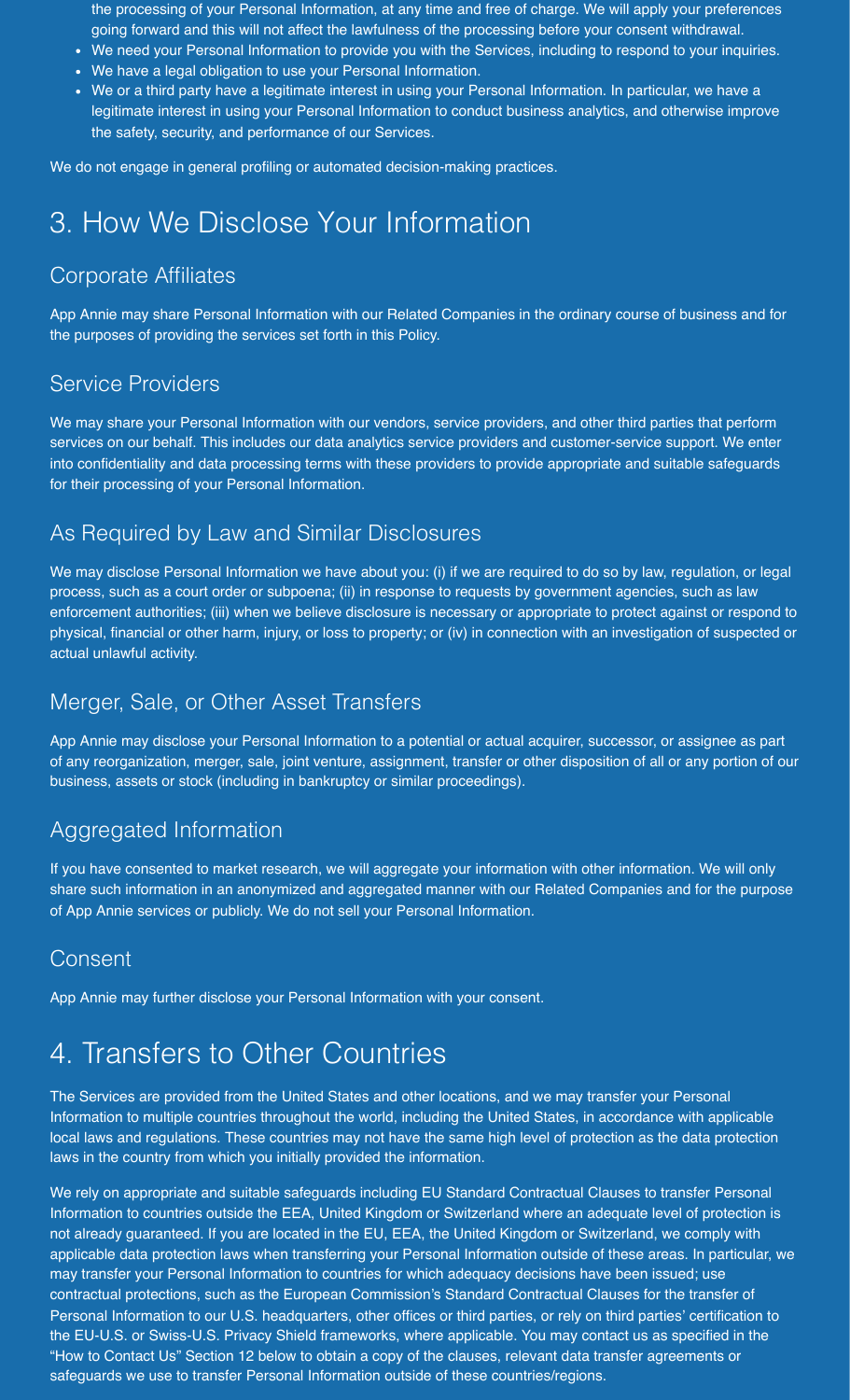- the processing of your Personal Information, at any time and free of charge. We will apply your preferences going forward and this will not affect the lawfulness of the processing before your consent withdrawal.
- We need your Personal Information to provide you with the Services, including to respond to your inquiries.
- We have a legal obligation to use your Personal Information.
- We or a third party have a legitimate interest in using your Personal Information. In particular, we have a legitimate interest in using your Personal Information to conduct business analytics, and otherwise improve the safety, security, and performance of our Services.

We do not engage in general profiling or automated decision-making practices.

## <span id="page-3-0"></span>3. How We Disclose Your Information

### Corporate Affiliates

App Annie may share Personal Information with our Related Companies in the ordinary course of business and for the purposes of providing the services set forth in this Policy.

### Service Providers

We may share your Personal Information with our vendors, service providers, and other third parties that perform services on our behalf. This includes our data analytics service providers and customer-service support. We enter into confidentiality and data processing terms with these providers to provide appropriate and suitable safeguards for their processing of your Personal Information.

### As Required by Law and Similar Disclosures

We may disclose Personal Information we have about you: (i) if we are required to do so by law, regulation, or legal process, such as a court order or subpoena; (ii) in response to requests by government agencies, such as law enforcement authorities; (iii) when we believe disclosure is necessary or appropriate to protect against or respond to physical, financial or other harm, injury, or loss to property; or (iv) in connection with an investigation of suspected or actual unlawful activity.

### Merger, Sale, or Other Asset Transfers

App Annie may disclose your Personal Information to a potential or actual acquirer, successor, or assignee as part of any reorganization, merger, sale, joint venture, assignment, transfer or other disposition of all or any portion of our business, assets or stock (including in bankruptcy or similar proceedings).

### Aggregated Information

If you have consented to market research, we will aggregate your information with other information. We will only share such information in an anonymized and aggregated manner with our Related Companies and for the purpose of App Annie services or publicly. We do not sell your Personal Information.

### Consent

App Annie may further disclose your Personal Information with your consent.

## <span id="page-3-1"></span>4. Transfers to Other Countries

The Services are provided from the United States and other locations, and we may transfer your Personal Information to multiple countries throughout the world, including the United States, in accordance with applicable local laws and regulations. These countries may not have the same high level of protection as the data protection laws in the country from which you initially provided the information.

We rely on appropriate and suitable safeguards including EU Standard Contractual Clauses to transfer Personal Information to countries outside the EEA, United Kingdom or Switzerland where an adequate level of protection is not already guaranteed. If you are located in the EU, EEA, the United Kingdom or Switzerland, we comply with applicable data protection laws when transferring your Personal Information outside of these areas. In particular, we may transfer your Personal Information to countries for which adequacy decisions have been issued; use contractual protections, such as the European Commission's Standard Contractual Clauses for the transfer of Personal Information to our U.S. headquarters, other offices or third parties, or rely on third parties' certification to the EU-U.S. or Swiss-U.S. Privacy Shield frameworks, where applicable. You may contact us as specified in the "How to Contact Us" Section 12 below to obtain a copy of the clauses, relevant data transfer agreements or safeguards we use to transfer Personal Information outside of these countries/regions.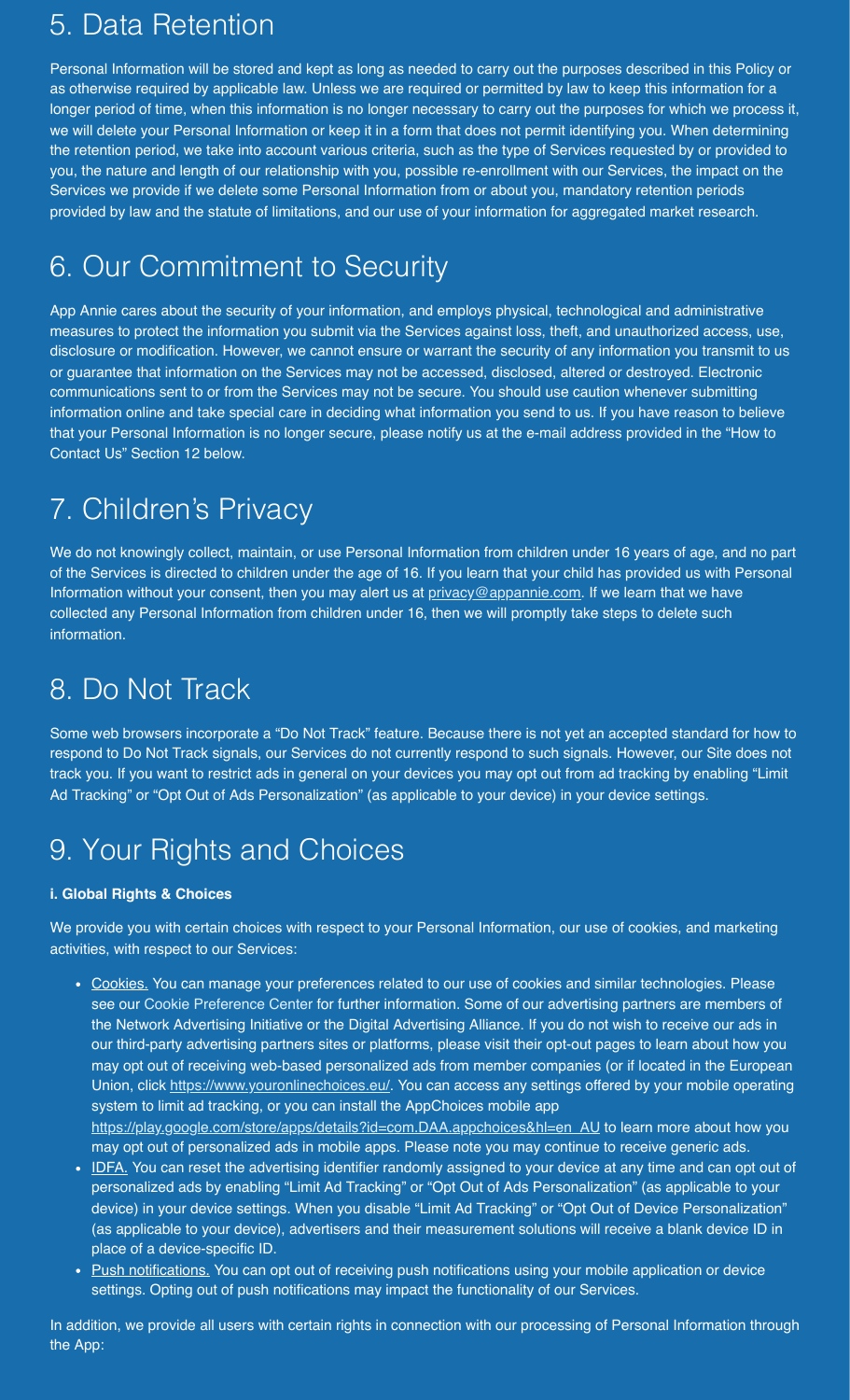## <span id="page-4-0"></span>5. Data Retention

Personal Information will be stored and kept as long as needed to carry out the purposes described in this Policy or as otherwise required by applicable law. Unless we are required or permitted by law to keep this information for a longer period of time, when this information is no longer necessary to carry out the purposes for which we process it, we will delete your Personal Information or keep it in a form that does not permit identifying you. When determining the retention period, we take into account various criteria, such as the type of Services requested by or provided to you, the nature and length of our relationship with you, possible re-enrollment with our Services, the impact on the Services we provide if we delete some Personal Information from or about you, mandatory retention periods provided by law and the statute of limitations, and our use of your information for aggregated market research.

# <span id="page-4-1"></span>6. Our Commitment to Security

App Annie cares about the security of your information, and employs physical, technological and administrative measures to protect the information you submit via the Services against loss, theft, and unauthorized access, use, disclosure or modification. However, we cannot ensure or warrant the security of any information you transmit to us or guarantee that information on the Services may not be accessed, disclosed, altered or destroyed. Electronic communications sent to or from the Services may not be secure. You should use caution whenever submitting information online and take special care in deciding what information you send to us. If you have reason to believe that your Personal Information is no longer secure, please notify us at the e-mail address provided in the "How to Contact Us" Section 12 below.

# <span id="page-4-2"></span>7. Children's Privacy

We do not knowingly collect, maintain, or use Personal Information from children under 16 years of age, and no part of the Services is directed to children under the age of 16. If you learn that your child has provided us with Personal Information without your consent, then you may alert us at [privacy@appannie.com](mailto:privacy@appannie.com). If we learn that we have collected any Personal Information from children under 16, then we will promptly take steps to delete such information.

## <span id="page-4-3"></span>8. Do Not Track

Some web browsers incorporate a "Do Not Track" feature. Because there is not yet an accepted standard for how to respond to Do Not Track signals, our Services do not currently respond to such signals. However, our Site does not track you. If you want to restrict ads in general on your devices you may opt out from ad tracking by enabling "Limit Ad Tracking" or "Opt Out of Ads Personalization" (as applicable to your device) in your device settings.

# <span id="page-4-4"></span>9. Your Rights and Choices

#### **i. Global Rights & Choices**

We provide you with certain choices with respect to your Personal Information, our use of cookies, and marketing activities, with respect to our Services:

- Cookies. You can manage your preferences related to our use of cookies and similar technologies. Please see our Cookie Preference Center for further information. Some of our advertising partners are members of the Network Advertising Initiative or the Digital Advertising Alliance. If you do not wish to receive our ads in our third-party advertising partners sites or platforms, please visit their opt-out pages to learn about how you may opt out of receiving web-based personalized ads from member companies (or if located in the European Union, click<https://www.youronlinechoices.eu/>. You can access any settings offered by your mobile operating system to limit ad tracking, or you can install the AppChoices mobile app [https://play.google.com/store/apps/details?id=com.DAA.appchoices&hl=en\\_AU](https://play.google.com/store/apps/details?id=com.DAA.appchoices&hl=en_AU) to learn more about how you may opt out of personalized ads in mobile apps. Please note you may continue to receive generic ads.
- IDFA. You can reset the advertising identifier randomly assigned to your device at any time and can opt out of personalized ads by enabling "Limit Ad Tracking" or "Opt Out of Ads Personalization" (as applicable to your device) in your device settings. When you disable "Limit Ad Tracking" or "Opt Out of Device Personalization" (as applicable to your device), advertisers and their measurement solutions will receive a blank device ID in place of a device-specific ID.
- Push notifications. You can opt out of receiving push notifications using your mobile application or device settings. Opting out of push notifications may impact the functionality of our Services.

In addition, we provide all users with certain rights in connection with our processing of Personal Information through the App: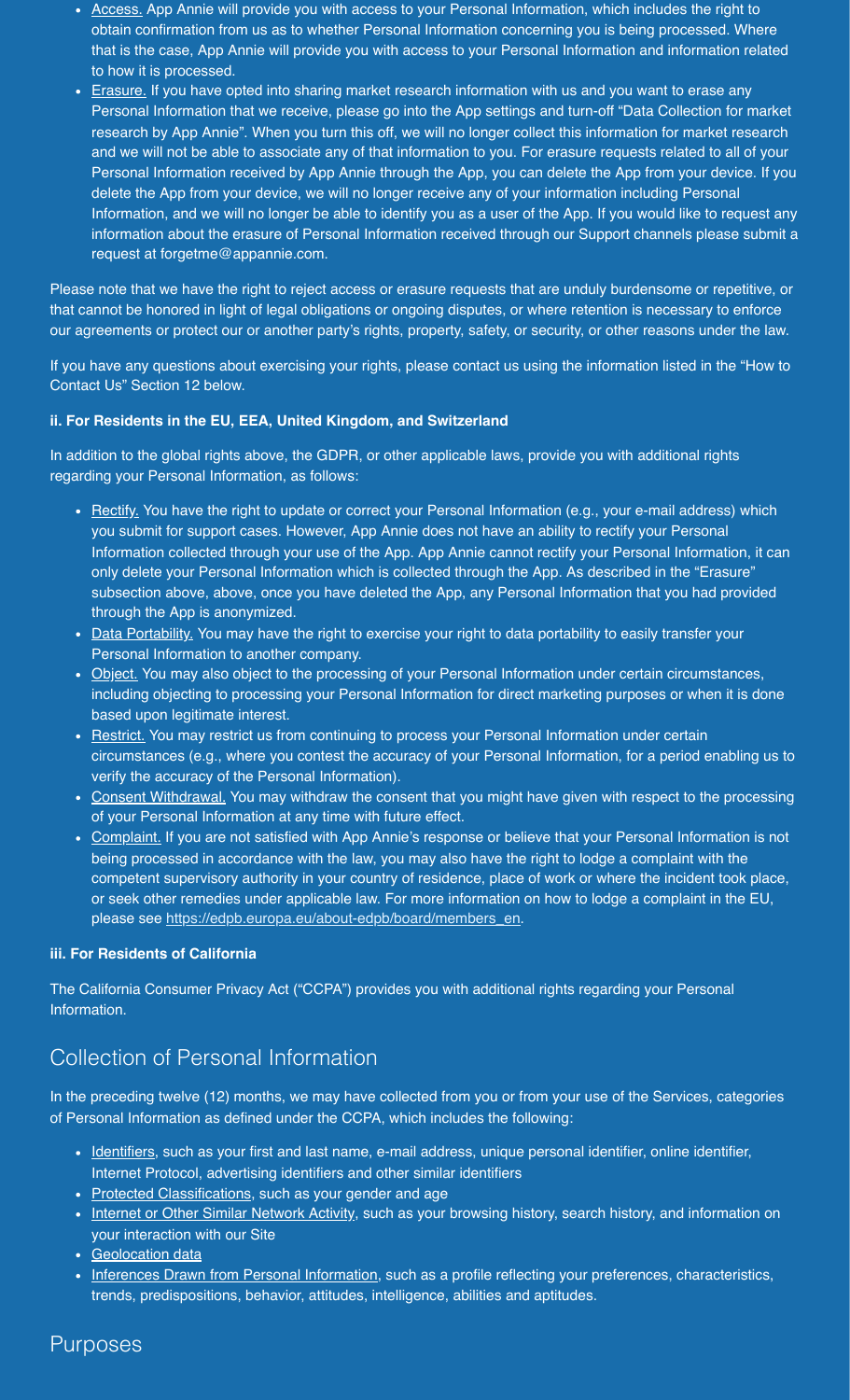- Access. App Annie will provide you with access to your Personal Information, which includes the right to obtain confirmation from us as to whether Personal Information concerning you is being processed. Where that is the case, App Annie will provide you with access to your Personal Information and information related to how it is processed.
- Erasure. If you have opted into sharing market research information with us and you want to erase any Personal Information that we receive, please go into the App settings and turn-off "Data Collection for market research by App Annie". When you turn this off, we will no longer collect this information for market research and we will not be able to associate any of that information to you. For erasure requests related to all of your Personal Information received by App Annie through the App, you can delete the App from your device. If you delete the App from your device, we will no longer receive any of your information including Personal Information, and we will no longer be able to identify you as a user of the App. If you would like to request any information about the erasure of Personal Information received through our Support channels please submit a request at forgetme@appannie.com.

Please note that we have the right to reject access or erasure requests that are unduly burdensome or repetitive, or that cannot be honored in light of legal obligations or ongoing disputes, or where retention is necessary to enforce our agreements or protect our or another party's rights, property, safety, or security, or other reasons under the law.

If you have any questions about exercising your rights, please contact us using the information listed in the "How to Contact Us" Section 12 below.

#### **ii. For Residents in the EU, EEA, United Kingdom, and Switzerland**

In addition to the global rights above, the GDPR, or other applicable laws, provide you with additional rights regarding your Personal Information, as follows:

- Rectify. You have the right to update or correct your Personal Information (e.g., your e-mail address) which you submit for support cases. However, App Annie does not have an ability to rectify your Personal Information collected through your use of the App. App Annie cannot rectify your Personal Information, it can only delete your Personal Information which is collected through the App. As described in the "Erasure" subsection above, above, once you have deleted the App, any Personal Information that you had provided through the App is anonymized.
- Data Portability. You may have the right to exercise your right to data portability to easily transfer your Personal Information to another company.
- Object. You may also object to the processing of your Personal Information under certain circumstances, including objecting to processing your Personal Information for direct marketing purposes or when it is done based upon legitimate interest.
- Restrict. You may restrict us from continuing to process your Personal Information under certain circumstances (e.g., where you contest the accuracy of your Personal Information, for a period enabling us to verify the accuracy of the Personal Information).
- Consent Withdrawal. You may withdraw the consent that you might have given with respect to the processing of your Personal Information at any time with future effect.
- Complaint. If you are not satisfied with App Annie's response or believe that your Personal Information is not being processed in accordance with the law, you may also have the right to lodge a complaint with the competent supervisory authority in your country of residence, place of work or where the incident took place, or seek other remedies under applicable law. For more information on how to lodge a complaint in the EU, please see [https://edpb.europa.eu/about-edpb/board/members\\_en.](https://edpb.europa.eu/about-edpb/board/members_en)

#### **iii. For Residents of California**

The California Consumer Privacy Act ("CCPA") provides you with additional rights regarding your Personal Information.

### Collection of Personal Information

In the preceding twelve (12) months, we may have collected from you or from your use of the Services, categories of Personal Information as defined under the CCPA, which includes the following:

- Identifiers, such as your first and last name, e-mail address, unique personal identifier, online identifier, Internet Protocol, advertising identifiers and other similar identifiers
- Protected Classifications, such as your gender and age
- Internet or Other Similar Network Activity, such as your browsing history, search history, and information on your interaction with our Site
- Geolocation data
- Inferences Drawn from Personal Information, such as a profile reflecting your preferences, characteristics, trends, predispositions, behavior, attitudes, intelligence, abilities and aptitudes.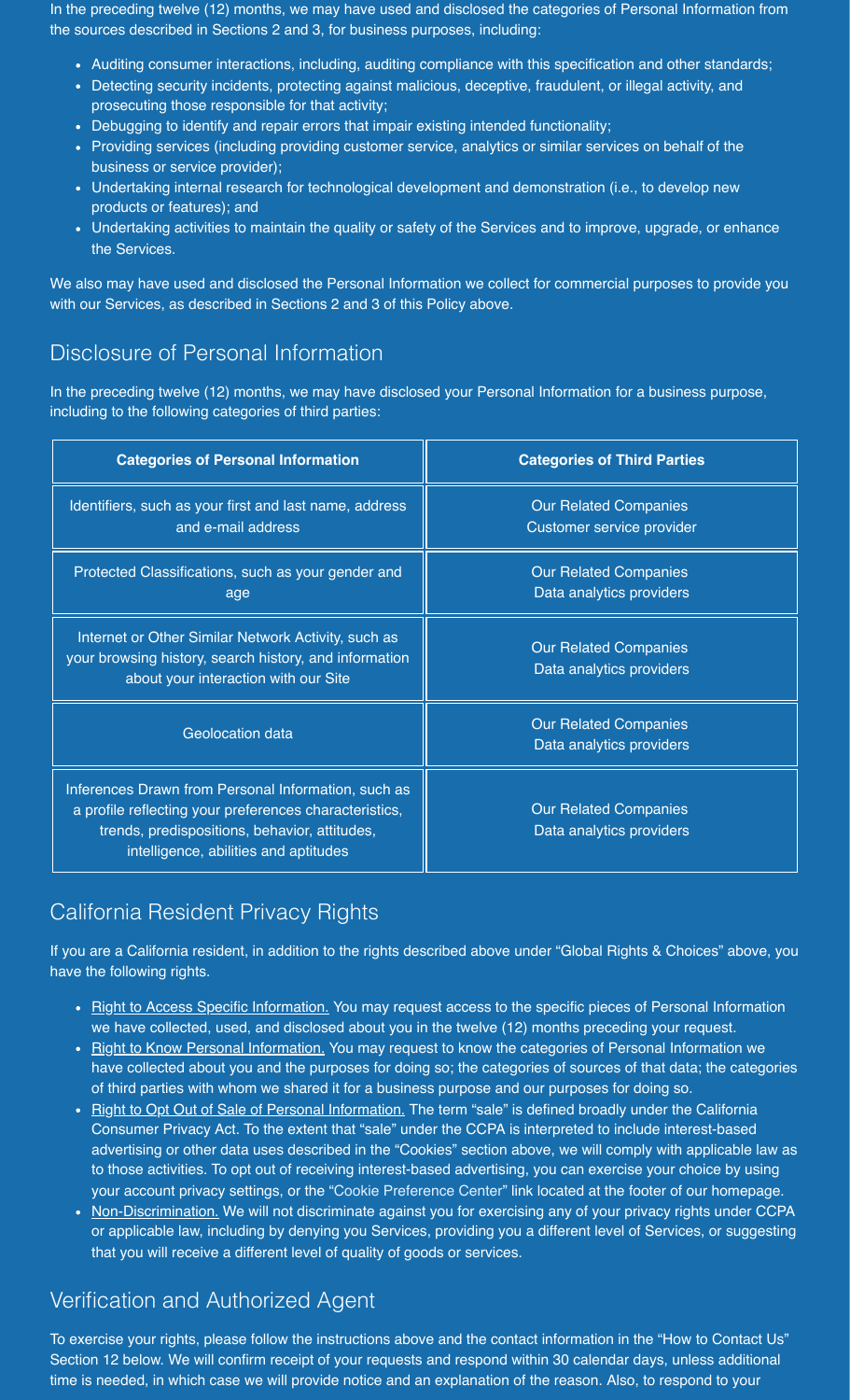In the preceding twelve (12) months, we may have used and disclosed the categories of Personal Information from the sources described in Sections 2 and 3, for business purposes, including:

- Auditing consumer interactions, including, auditing compliance with this specification and other standards;
- Detecting security incidents, protecting against malicious, deceptive, fraudulent, or illegal activity, and prosecuting those responsible for that activity;
- Debugging to identify and repair errors that impair existing intended functionality;
- Providing services (including providing customer service, analytics or similar services on behalf of the business or service provider);
- Undertaking internal research for technological development and demonstration (i.e., to develop new products or features); and
- Undertaking activities to maintain the quality or safety of the Services and to improve, upgrade, or enhance the Services.

We also may have used and disclosed the Personal Information we collect for commercial purposes to provide you with our Services, as described in Sections 2 and 3 of this Policy above.

### Disclosure of Personal Information

In the preceding twelve (12) months, we may have disclosed your Personal Information for a business purpose, including to the following categories of third parties:

| <b>Categories of Personal Information</b>                                                                                                                                                               | <b>Categories of Third Parties</b>                        |
|---------------------------------------------------------------------------------------------------------------------------------------------------------------------------------------------------------|-----------------------------------------------------------|
| Identifiers, such as your first and last name, address<br>and e-mail address                                                                                                                            | <b>Our Related Companies</b><br>Customer service provider |
| Protected Classifications, such as your gender and<br>age                                                                                                                                               | <b>Our Related Companies</b><br>Data analytics providers  |
| Internet or Other Similar Network Activity, such as<br>your browsing history, search history, and information<br>about your interaction with our Site                                                   | <b>Our Related Companies</b><br>Data analytics providers  |
| <b>Geolocation data</b>                                                                                                                                                                                 | <b>Our Related Companies</b><br>Data analytics providers  |
| Inferences Drawn from Personal Information, such as<br>a profile reflecting your preferences characteristics,<br>trends, predispositions, behavior, attitudes,<br>intelligence, abilities and aptitudes | <b>Our Related Companies</b><br>Data analytics providers  |

### California Resident Privacy Rights

If you are a California resident, in addition to the rights described above under "Global Rights & Choices" above, you have the following rights.

- Right to Access Specific Information. You may request access to the specific pieces of Personal Information we have collected, used, and disclosed about you in the twelve (12) months preceding your request.
- Right to Know Personal Information. You may request to know the categories of Personal Information we have collected about you and the purposes for doing so; the categories of sources of that data; the categories of third parties with whom we shared it for a business purpose and our purposes for doing so.
- Right to Opt Out of Sale of Personal Information. The term "sale" is defined broadly under the California Consumer Privacy Act. To the extent that "sale" under the CCPA is interpreted to include interest-based advertising or other data uses described in the "Cookies" section above, we will comply with applicable law as to those activities. To opt out of receiving interest-based advertising, you can exercise your choice by using your account privacy settings, or the "Cookie Preference Center" link located at the footer of our homepage.
- Non-Discrimination. We will not discriminate against you for exercising any of your privacy rights under CCPA or applicable law, including by denying you Services, providing you a different level of Services, or suggesting that you will receive a different level of quality of goods or services.

### Verification and Authorized Agent

To exercise your rights, please follow the instructions above and the contact information in the "How to Contact Us" Section 12 below. We will confirm receipt of your requests and respond within 30 calendar days, unless additional time is needed, in which case we will provide notice and an explanation of the reason. Also, to respond to your